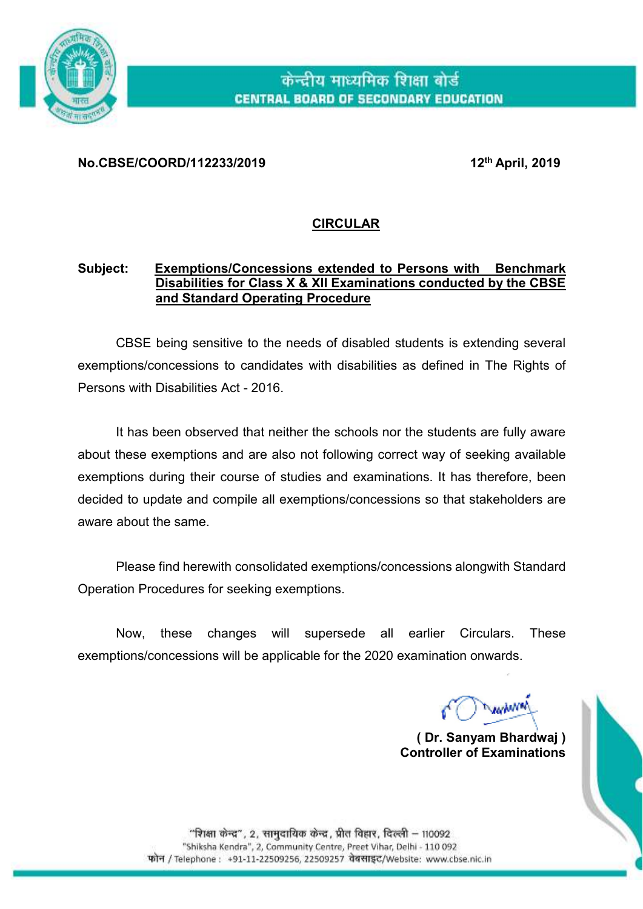

### **No.CBSE/COORD/112233/2019 12th April, 2019**

## **CIRCULAR**

### **Subject: Exemptions/Concessions extended to Persons with Benchmark Disabilities for Class X & XII Examinations conducted by the CBSE and Standard Operating Procedure**

CBSE being sensitive to the needs of disabled students is extending several exemptions/concessions to candidates with disabilities as defined in The Rights of Persons with Disabilities Act - 2016.

It has been observed that neither the schools nor the students are fully aware about these exemptions and are also not following correct way of seeking available exemptions during their course of studies and examinations. It has therefore, been decided to update and compile all exemptions/concessions so that stakeholders are aware about the same.

Please find herewith consolidated exemptions/concessions alongwith Standard Operation Procedures for seeking exemptions.

Now, these changes will supersede all earlier Circulars. These exemptions/concessions will be applicable for the 2020 examination onwards.

winn

**( Dr. Sanyam Bhardwaj ) Controller of Examinations**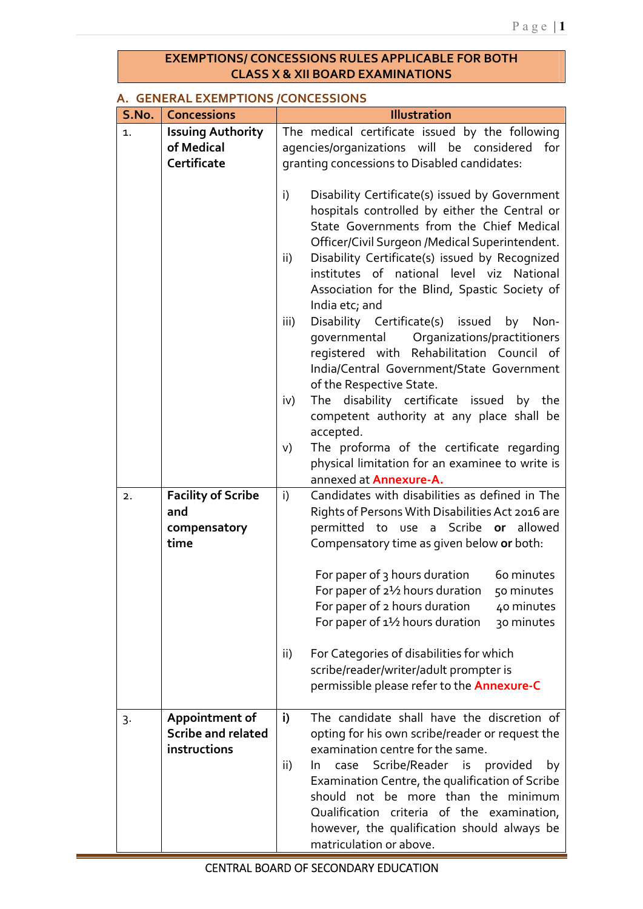### **EXEMPTIONS/ CONCESSIONS RULES APPLICABLE FOR BOTH CLASS X & XII BOARD EXAMINATIONS**

### **A. GENERAL EXEMPTIONS /CONCESSIONS**

| S.No. | <b>Concessions</b>        | <b>Illustration</b>                                         |  |  |  |  |  |  |  |
|-------|---------------------------|-------------------------------------------------------------|--|--|--|--|--|--|--|
| 1.    | <b>Issuing Authority</b>  | The medical certificate issued by the following             |  |  |  |  |  |  |  |
|       | of Medical                | agencies/organizations will be considered<br>for            |  |  |  |  |  |  |  |
|       | Certificate               | granting concessions to Disabled candidates:                |  |  |  |  |  |  |  |
|       |                           |                                                             |  |  |  |  |  |  |  |
|       |                           | Disability Certificate(s) issued by Government<br>i)        |  |  |  |  |  |  |  |
|       |                           | hospitals controlled by either the Central or               |  |  |  |  |  |  |  |
|       |                           | State Governments from the Chief Medical                    |  |  |  |  |  |  |  |
|       |                           | Officer/Civil Surgeon /Medical Superintendent.              |  |  |  |  |  |  |  |
|       |                           | Disability Certificate(s) issued by Recognized<br>ii)       |  |  |  |  |  |  |  |
|       |                           | institutes of national level viz National                   |  |  |  |  |  |  |  |
|       |                           | Association for the Blind, Spastic Society of               |  |  |  |  |  |  |  |
|       |                           | India etc; and                                              |  |  |  |  |  |  |  |
|       |                           | Disability Certificate(s) issued<br>iii)<br>by Non-         |  |  |  |  |  |  |  |
|       |                           | governmental Organizations/practitioners                    |  |  |  |  |  |  |  |
|       |                           | registered with Rehabilitation Council of                   |  |  |  |  |  |  |  |
|       |                           | India/Central Government/State Government                   |  |  |  |  |  |  |  |
|       |                           | of the Respective State.                                    |  |  |  |  |  |  |  |
|       |                           | The disability certificate issued by the<br>iv)             |  |  |  |  |  |  |  |
|       |                           | competent authority at any place shall be                   |  |  |  |  |  |  |  |
|       |                           | accepted.                                                   |  |  |  |  |  |  |  |
|       |                           | The proforma of the certificate regarding<br>V)             |  |  |  |  |  |  |  |
|       |                           | physical limitation for an examinee to write is             |  |  |  |  |  |  |  |
|       |                           | annexed at <b>Annexure-A.</b>                               |  |  |  |  |  |  |  |
| 2.    | <b>Facility of Scribe</b> | Candidates with disabilities as defined in The<br>i)        |  |  |  |  |  |  |  |
|       | and                       | Rights of Persons With Disabilities Act 2016 are            |  |  |  |  |  |  |  |
|       | compensatory              | permitted to use a Scribe or allowed                        |  |  |  |  |  |  |  |
|       | time                      | Compensatory time as given below or both:                   |  |  |  |  |  |  |  |
|       |                           |                                                             |  |  |  |  |  |  |  |
|       |                           | For paper of 3 hours duration<br>60 minutes                 |  |  |  |  |  |  |  |
|       |                           | For paper of 2 <sup>1</sup> /2 hours duration<br>50 minutes |  |  |  |  |  |  |  |
|       |                           | For paper of 2 hours duration<br>40 minutes                 |  |  |  |  |  |  |  |
|       |                           | For paper of 1 <sup>1</sup> /2 hours duration<br>30 minutes |  |  |  |  |  |  |  |
|       |                           |                                                             |  |  |  |  |  |  |  |
|       |                           | For Categories of disabilities for which<br>ii)             |  |  |  |  |  |  |  |
|       |                           | scribe/reader/writer/adult prompter is                      |  |  |  |  |  |  |  |
|       |                           | permissible please refer to the <b>Annexure-C</b>           |  |  |  |  |  |  |  |
|       |                           |                                                             |  |  |  |  |  |  |  |
| 3.    | Appointment of            | The candidate shall have the discretion of<br>i)            |  |  |  |  |  |  |  |
|       | <b>Scribe and related</b> | opting for his own scribe/reader or request the             |  |  |  |  |  |  |  |
|       | instructions              | examination centre for the same.                            |  |  |  |  |  |  |  |
|       |                           | Scribe/Reader is provided<br>ii)<br>In.<br>case<br>by       |  |  |  |  |  |  |  |
|       |                           | Examination Centre, the qualification of Scribe             |  |  |  |  |  |  |  |
|       |                           | should not be more than the minimum                         |  |  |  |  |  |  |  |
|       |                           | Qualification criteria of the examination,                  |  |  |  |  |  |  |  |
|       |                           | however, the qualification should always be                 |  |  |  |  |  |  |  |
|       |                           | matriculation or above.                                     |  |  |  |  |  |  |  |
|       |                           |                                                             |  |  |  |  |  |  |  |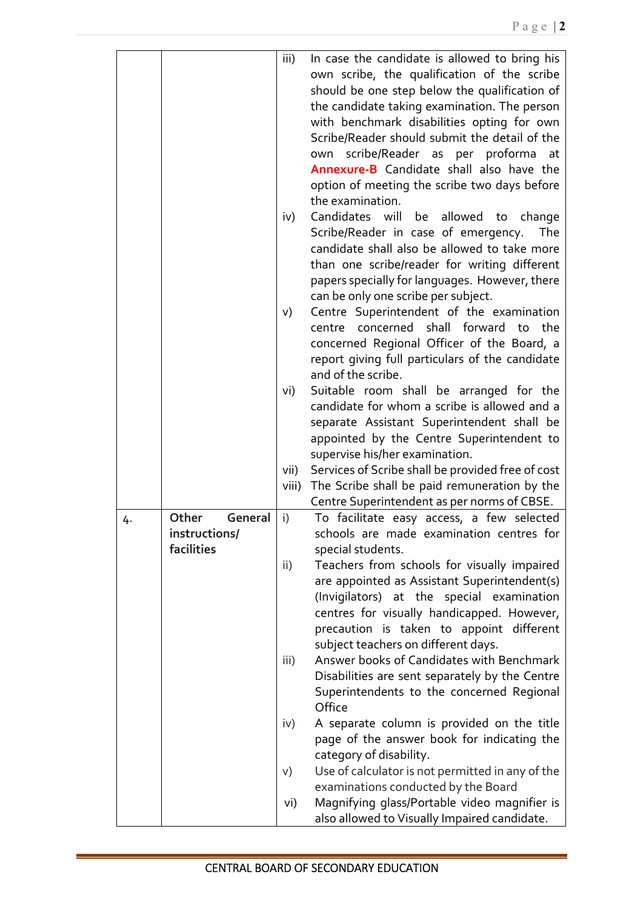|    |                  | iii)            | In case the candidate is allowed to bring his       |
|----|------------------|-----------------|-----------------------------------------------------|
|    |                  |                 | own scribe, the qualification of the scribe         |
|    |                  |                 | should be one step below the qualification of       |
|    |                  |                 | the candidate taking examination. The person        |
|    |                  |                 | with benchmark disabilities opting for own          |
|    |                  |                 | Scribe/Reader should submit the detail of the       |
|    |                  |                 | scribe/Reader as per proforma at<br>own             |
|    |                  |                 | Annexure-B Candidate shall also have the            |
|    |                  |                 | option of meeting the scribe two days before        |
|    |                  |                 | the examination.                                    |
|    |                  | iv)             | Candidates will be<br>allowed to<br>change          |
|    |                  |                 | Scribe/Reader in case of emergency.<br>The          |
|    |                  |                 | candidate shall also be allowed to take more        |
|    |                  |                 | than one scribe/reader for writing different        |
|    |                  |                 |                                                     |
|    |                  |                 | papers specially for languages. However, there      |
|    |                  |                 | can be only one scribe per subject.                 |
|    |                  | V)              | Centre Superintendent of the examination            |
|    |                  |                 | centre concerned shall forward<br>the<br>to         |
|    |                  |                 | concerned Regional Officer of the Board, a          |
|    |                  |                 | report giving full particulars of the candidate     |
|    |                  |                 | and of the scribe.                                  |
|    |                  | vi)             | Suitable room shall be arranged for the             |
|    |                  |                 | candidate for whom a scribe is allowed and a        |
|    |                  |                 | separate Assistant Superintendent shall be          |
|    |                  |                 | appointed by the Centre Superintendent to           |
|    |                  |                 | supervise his/her examination.                      |
|    |                  | vii)            | Services of Scribe shall be provided free of cost   |
|    |                  | viii)           | The Scribe shall be paid remuneration by the        |
|    |                  |                 | Centre Superintendent as per norms of CBSE.         |
| 4. | General<br>Other | i)              | To facilitate easy access, a few selected           |
|    | instructions/    |                 | schools are made examination centres for            |
|    | facilities       |                 | special students.                                   |
|    |                  | $\mathsf{ii}$ ) | Teachers from schools for visually impaired         |
|    |                  |                 | are appointed as Assistant Superintendent(s)        |
|    |                  |                 | (Invigilators) at the special examination           |
|    |                  |                 | centres for visually handicapped. However,          |
|    |                  |                 | precaution is taken to appoint different            |
|    |                  |                 | subject teachers on different days.                 |
|    |                  | iii)            | Answer books of Candidates with Benchmark           |
|    |                  |                 | Disabilities are sent separately by the Centre      |
|    |                  |                 |                                                     |
|    |                  |                 | Superintendents to the concerned Regional<br>Office |
|    |                  |                 |                                                     |
|    |                  | iv)             | A separate column is provided on the title          |
|    |                  |                 | page of the answer book for indicating the          |
|    |                  |                 | category of disability.                             |
|    |                  | V)              | Use of calculator is not permitted in any of the    |
|    |                  |                 | examinations conducted by the Board                 |
|    |                  | vi)             | Magnifying glass/Portable video magnifier is        |
|    |                  |                 | also allowed to Visually Impaired candidate.        |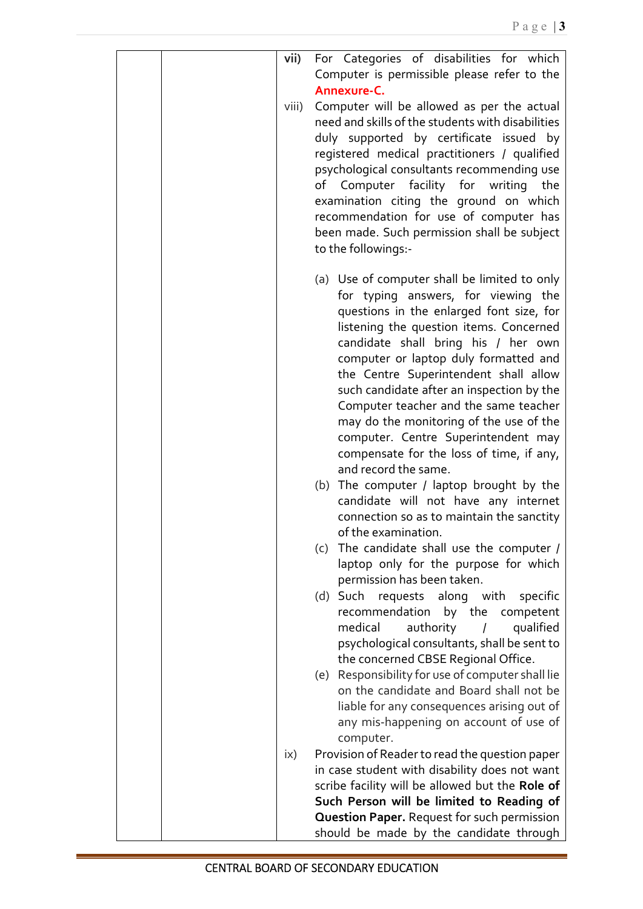| vii)          | For Categories of disabilities for which                                         |
|---------------|----------------------------------------------------------------------------------|
|               | Computer is permissible please refer to the                                      |
|               | Annexure-C.                                                                      |
| viii)         | Computer will be allowed as per the actual                                       |
|               | need and skills of the students with disabilities                                |
|               | duly supported by certificate issued by                                          |
|               | registered medical practitioners / qualified                                     |
|               | psychological consultants recommending use                                       |
|               | of Computer facility for writing<br>the                                          |
|               | examination citing the ground on which                                           |
|               | recommendation for use of computer has                                           |
|               | been made. Such permission shall be subject                                      |
|               | to the followings:-                                                              |
|               |                                                                                  |
|               | (a) Use of computer shall be limited to only                                     |
|               | for typing answers, for viewing the                                              |
|               | questions in the enlarged font size, for                                         |
|               | listening the question items. Concerned                                          |
|               | candidate shall bring his / her own                                              |
|               | computer or laptop duly formatted and                                            |
|               | the Centre Superintendent shall allow                                            |
|               | such candidate after an inspection by the                                        |
|               | Computer teacher and the same teacher                                            |
|               | may do the monitoring of the use of the                                          |
|               | computer. Centre Superintendent may                                              |
|               | compensate for the loss of time, if any,<br>and record the same.                 |
|               |                                                                                  |
|               | (b) The computer / laptop brought by the<br>candidate will not have any internet |
|               | connection so as to maintain the sanctity                                        |
|               | of the examination.                                                              |
|               | The candidate shall use the computer /<br>(c)                                    |
|               | laptop only for the purpose for which                                            |
|               | permission has been taken.                                                       |
|               | Such requests<br>along with<br>specific<br>(d)                                   |
|               | recommendation<br>by the competent                                               |
|               | medical<br>qualified<br>authority                                                |
|               | psychological consultants, shall be sent to                                      |
|               | the concerned CBSE Regional Office.                                              |
|               | (e) Responsibility for use of computer shall lie                                 |
|               | on the candidate and Board shall not be                                          |
|               | liable for any consequences arising out of                                       |
|               | any mis-happening on account of use of                                           |
|               | computer.                                                                        |
| $\mathsf{ix}$ | Provision of Reader to read the question paper                                   |
|               | in case student with disability does not want                                    |
|               | scribe facility will be allowed but the Role of                                  |
|               | Such Person will be limited to Reading of                                        |
|               | <b>Question Paper.</b> Request for such permission                               |
|               | should be made by the candidate through                                          |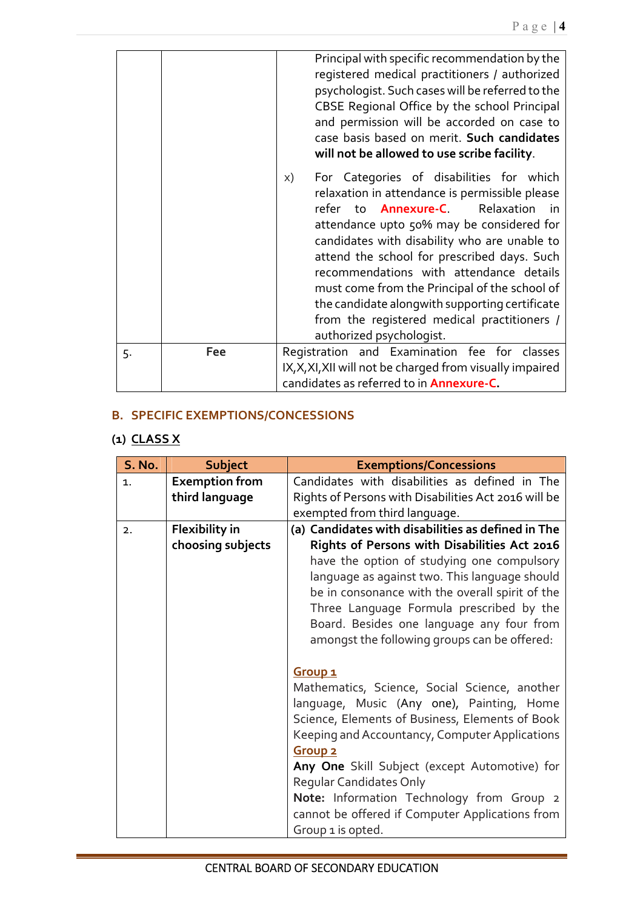|    |     | Principal with specific recommendation by the<br>registered medical practitioners / authorized<br>psychologist. Such cases will be referred to the<br>CBSE Regional Office by the school Principal<br>and permission will be accorded on case to<br>case basis based on merit. Such candidates<br>will not be allowed to use scribe facility.                                                                                                                                                                            |
|----|-----|--------------------------------------------------------------------------------------------------------------------------------------------------------------------------------------------------------------------------------------------------------------------------------------------------------------------------------------------------------------------------------------------------------------------------------------------------------------------------------------------------------------------------|
|    |     | For Categories of disabilities for which<br>X)<br>relaxation in attendance is permissible please<br>refer to <b>Annexure-C.</b> Relaxation<br>in in<br>attendance upto 50% may be considered for<br>candidates with disability who are unable to<br>attend the school for prescribed days. Such<br>recommendations with attendance details<br>must come from the Principal of the school of<br>the candidate alongwith supporting certificate<br>from the registered medical practitioners /<br>authorized psychologist. |
| 5. | Fee | Registration and Examination fee for classes<br>IX, X, XI, XII will not be charged from visually impaired<br>candidates as referred to in <b>Annexure-C</b> .                                                                                                                                                                                                                                                                                                                                                            |

## **B. SPECIFIC EXEMPTIONS/CONCESSIONS**

# **(1) CLASS X**

| <b>S. No.</b> | <b>Subject</b>        | <b>Exemptions/Concessions</b>                                                                     |  |  |  |  |  |  |  |  |
|---------------|-----------------------|---------------------------------------------------------------------------------------------------|--|--|--|--|--|--|--|--|
| 1.            | <b>Exemption from</b> | Candidates with disabilities as defined in The                                                    |  |  |  |  |  |  |  |  |
|               | third language        | Rights of Persons with Disabilities Act 2016 will be                                              |  |  |  |  |  |  |  |  |
|               |                       | exempted from third language.                                                                     |  |  |  |  |  |  |  |  |
| 2.            | <b>Flexibility in</b> | (a) Candidates with disabilities as defined in The                                                |  |  |  |  |  |  |  |  |
|               | choosing subjects     | Rights of Persons with Disabilities Act 2016                                                      |  |  |  |  |  |  |  |  |
|               |                       | have the option of studying one compulsory                                                        |  |  |  |  |  |  |  |  |
|               |                       | language as against two. This language should                                                     |  |  |  |  |  |  |  |  |
|               |                       | be in consonance with the overall spirit of the                                                   |  |  |  |  |  |  |  |  |
|               |                       | Three Language Formula prescribed by the                                                          |  |  |  |  |  |  |  |  |
|               |                       | Board. Besides one language any four from                                                         |  |  |  |  |  |  |  |  |
|               |                       | amongst the following groups can be offered:                                                      |  |  |  |  |  |  |  |  |
|               |                       |                                                                                                   |  |  |  |  |  |  |  |  |
|               |                       | Group <sub>1</sub>                                                                                |  |  |  |  |  |  |  |  |
|               |                       | Mathematics, Science, Social Science, another                                                     |  |  |  |  |  |  |  |  |
|               |                       | language, Music (Any one), Painting, Home                                                         |  |  |  |  |  |  |  |  |
|               |                       | Science, Elements of Business, Elements of Book<br>Keeping and Accountancy, Computer Applications |  |  |  |  |  |  |  |  |
|               |                       | <b>Group 2</b>                                                                                    |  |  |  |  |  |  |  |  |
|               |                       | Any One Skill Subject (except Automotive) for                                                     |  |  |  |  |  |  |  |  |
|               |                       | Regular Candidates Only                                                                           |  |  |  |  |  |  |  |  |
|               |                       | Note: Information Technology from Group 2                                                         |  |  |  |  |  |  |  |  |
|               |                       | cannot be offered if Computer Applications from                                                   |  |  |  |  |  |  |  |  |
|               |                       | Group 1 is opted.                                                                                 |  |  |  |  |  |  |  |  |
|               |                       |                                                                                                   |  |  |  |  |  |  |  |  |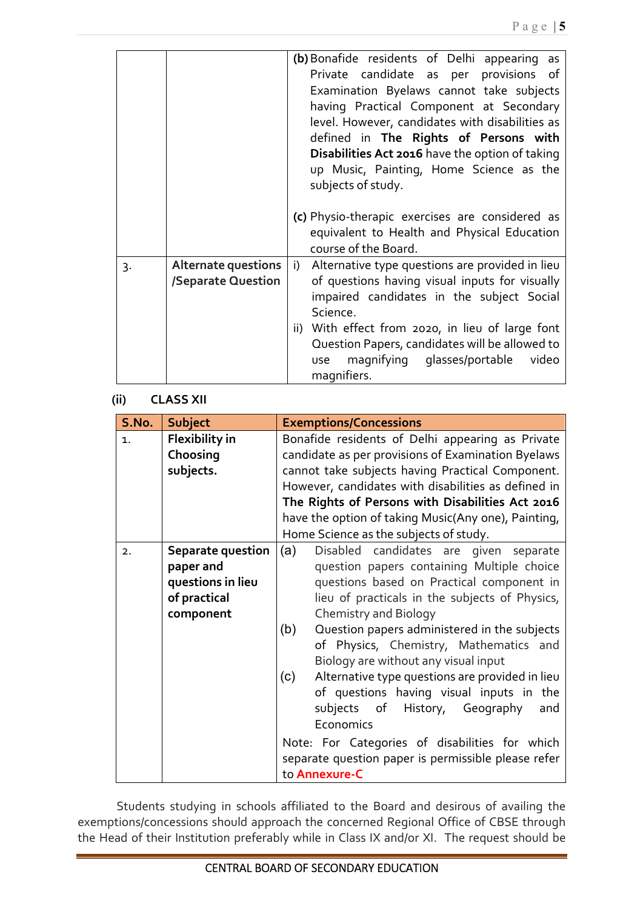|    |                                           | (b) Bonafide residents of Delhi appearing as<br>Private candidate as per provisions of<br>Examination Byelaws cannot take subjects<br>having Practical Component at Secondary |
|----|-------------------------------------------|-------------------------------------------------------------------------------------------------------------------------------------------------------------------------------|
|    |                                           | level. However, candidates with disabilities as<br>defined in The Rights of Persons with                                                                                      |
|    |                                           | Disabilities Act 2016 have the option of taking<br>up Music, Painting, Home Science as the<br>subjects of study.                                                              |
|    |                                           | (c) Physio-therapic exercises are considered as<br>equivalent to Health and Physical Education<br>course of the Board.                                                        |
| 3. | Alternate questions<br>/Separate Question | i) Alternative type questions are provided in lieu<br>of questions having visual inputs for visually<br>impaired candidates in the subject Social<br>Science.                 |
|    |                                           | ii) With effect from 2020, in lieu of large font<br>Question Papers, candidates will be allowed to<br>magnifying glasses/portable<br>video<br>use<br>magnifiers.              |

### **(ii) CLASS XII**

| S.No. | <b>Subject</b>        | <b>Exemptions/Concessions</b>                          |  |  |  |  |  |  |  |  |  |
|-------|-----------------------|--------------------------------------------------------|--|--|--|--|--|--|--|--|--|
| 1.    | <b>Flexibility in</b> | Bonafide residents of Delhi appearing as Private       |  |  |  |  |  |  |  |  |  |
|       | Choosing              | candidate as per provisions of Examination Byelaws     |  |  |  |  |  |  |  |  |  |
|       | subjects.             | cannot take subjects having Practical Component.       |  |  |  |  |  |  |  |  |  |
|       |                       | However, candidates with disabilities as defined in    |  |  |  |  |  |  |  |  |  |
|       |                       | The Rights of Persons with Disabilities Act 2016       |  |  |  |  |  |  |  |  |  |
|       |                       | have the option of taking Music(Any one), Painting,    |  |  |  |  |  |  |  |  |  |
|       |                       | Home Science as the subjects of study.                 |  |  |  |  |  |  |  |  |  |
| 2.    | Separate question     | (a)<br>Disabled candidates are given separate          |  |  |  |  |  |  |  |  |  |
|       | paper and             | question papers containing Multiple choice             |  |  |  |  |  |  |  |  |  |
|       | questions in lieu     | questions based on Practical component in              |  |  |  |  |  |  |  |  |  |
|       | of practical          | lieu of practicals in the subjects of Physics,         |  |  |  |  |  |  |  |  |  |
|       | component             | <b>Chemistry and Biology</b>                           |  |  |  |  |  |  |  |  |  |
|       |                       | (b)<br>Question papers administered in the subjects    |  |  |  |  |  |  |  |  |  |
|       |                       | of Physics, Chemistry, Mathematics and                 |  |  |  |  |  |  |  |  |  |
|       |                       | Biology are without any visual input                   |  |  |  |  |  |  |  |  |  |
|       |                       | Alternative type questions are provided in lieu<br>(c) |  |  |  |  |  |  |  |  |  |
|       |                       | of questions having visual inputs in the               |  |  |  |  |  |  |  |  |  |
|       |                       | subjects of History, Geography<br>and                  |  |  |  |  |  |  |  |  |  |
|       |                       | Economics                                              |  |  |  |  |  |  |  |  |  |
|       |                       | Note: For Categories of disabilities for which         |  |  |  |  |  |  |  |  |  |
|       |                       | separate question paper is permissible please refer    |  |  |  |  |  |  |  |  |  |
|       |                       | to Annexure-C                                          |  |  |  |  |  |  |  |  |  |

Students studying in schools affiliated to the Board and desirous of availing the exemptions/concessions should approach the concerned Regional Office of CBSE through the Head of their Institution preferably while in Class IX and/or XI. The request should be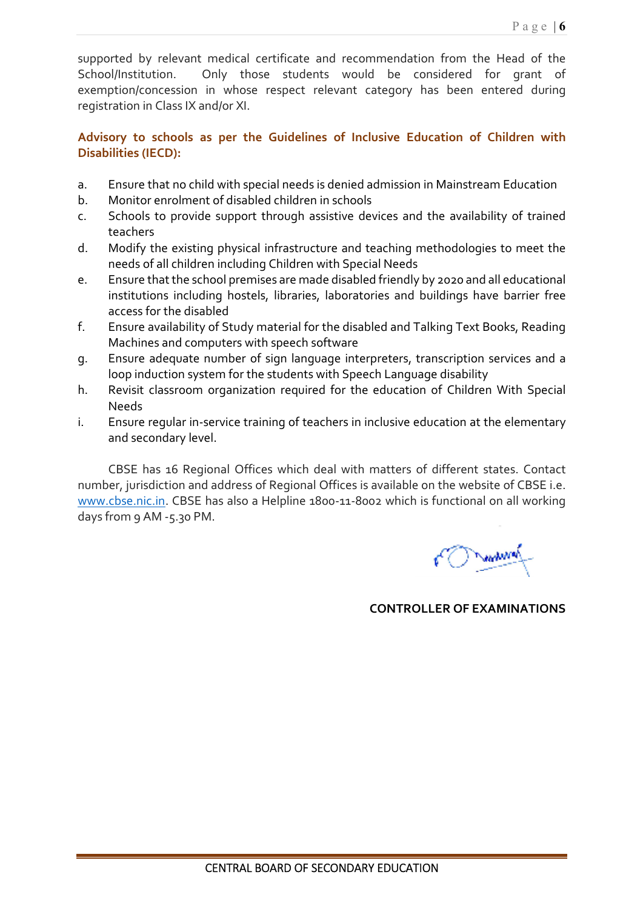supported by relevant medical certificate and recommendation from the Head of the School/Institution. Only those students would be considered for grant of exemption/concession in whose respect relevant category has been entered during registration in Class IX and/or XI.

### **Advisory to schools as per the Guidelines of Inclusive Education of Children with Disabilities (IECD):**

- a. Ensure that no child with special needs is denied admission in Mainstream Education
- b. Monitor enrolment of disabled children in schools
- c. Schools to provide support through assistive devices and the availability of trained teachers
- d. Modify the existing physical infrastructure and teaching methodologies to meet the needs of all children including Children with Special Needs
- e. Ensure that the school premises are made disabled friendly by 2020 and all educational institutions including hostels, libraries, laboratories and buildings have barrier free access for the disabled
- f. Ensure availability of Study material for the disabled and Talking Text Books, Reading Machines and computers with speech software
- g. Ensure adequate number of sign language interpreters, transcription services and a loop induction system for the students with Speech Language disability
- h. Revisit classroom organization required for the education of Children With Special Needs
- i. Ensure regular in-service training of teachers in inclusive education at the elementary and secondary level.

CBSE has 16 Regional Offices which deal with matters of different states. Contact number, jurisdiction and address of Regional Offices is available on the website of CBSE i.e. www.cbse.nic.in. CBSE has also a Helpline 1800-11-8002 which is functional on all working days from 9 AM -5.30 PM.

**COMMAND** 

 **CONTROLLER OF EXAMINATIONS**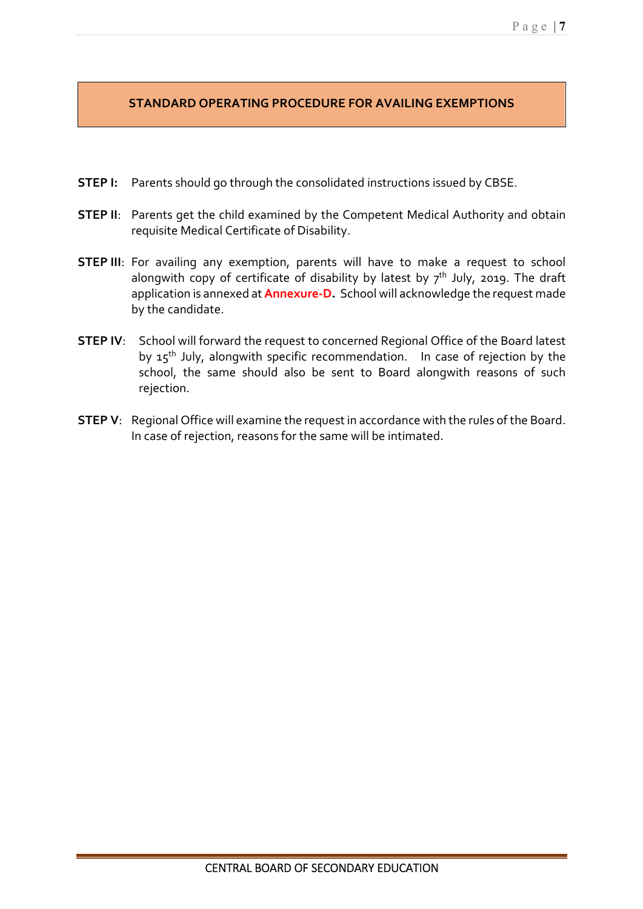## **STANDARD OPERATING PROCEDURE FOR AVAILING EXEMPTIONS**

- **STEP I:** Parents should go through the consolidated instructions issued by CBSE.
- **STEP II:** Parents get the child examined by the Competent Medical Authority and obtain requisite Medical Certificate of Disability.
- **STEP III**: For availing any exemption, parents will have to make a request to school alongwith copy of certificate of disability by latest by  $7<sup>th</sup>$  July, 2019. The draft application is annexed at **Annexure-D.** School will acknowledge the request made by the candidate.
- **STEP IV:** School will forward the request to concerned Regional Office of the Board latest by 15<sup>th</sup> July, alongwith specific recommendation. In case of rejection by the school, the same should also be sent to Board alongwith reasons of such rejection.
- **STEP V**: Regional Office will examine the request in accordance with the rules of the Board. In case of rejection, reasons for the same will be intimated.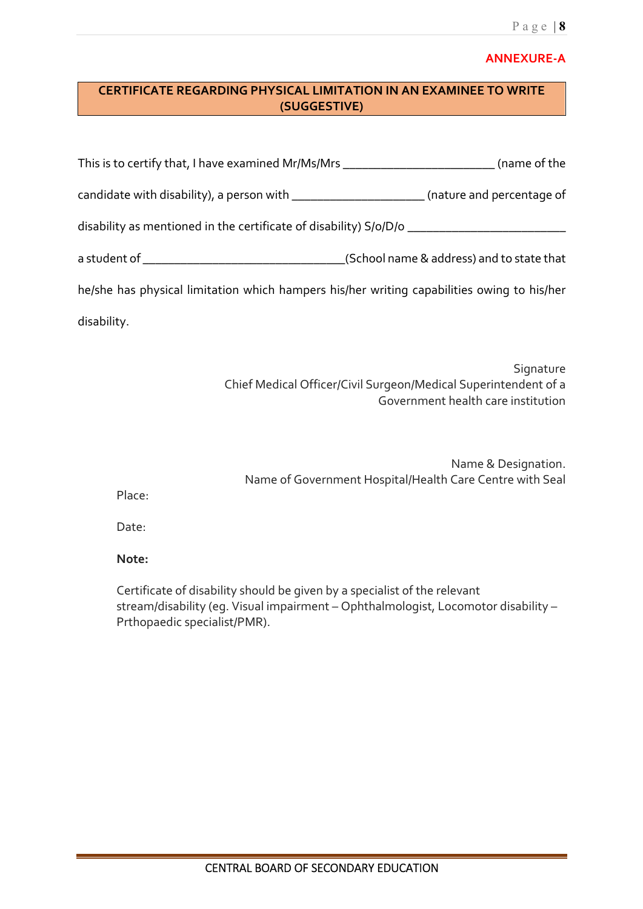### **ANNEXURE-A**

## **CERTIFICATE REGARDING PHYSICAL LIMITATION IN AN EXAMINEE TO WRITE (SUGGESTIVE)**

| This is to certify that, I have examined Mr/Ms/Mrs _____________________________           | (name of the                              |
|--------------------------------------------------------------------------------------------|-------------------------------------------|
| candidate with disability), a person with _______________________(nature and percentage of |                                           |
| disability as mentioned in the certificate of disability) S/o/D/o ____________________     |                                           |
|                                                                                            | (School name & address) and to state that |
| he/she has physical limitation which hampers his/her writing capabilities owing to his/her |                                           |
| disability.                                                                                |                                           |
|                                                                                            |                                           |

Signature Chief Medical Officer/Civil Surgeon/Medical Superintendent of a Government health care institution

|                                                          | Name & Designation. |
|----------------------------------------------------------|---------------------|
| Name of Government Hospital/Health Care Centre with Seal |                     |
|                                                          |                     |

Place:

Date:

### **Note:**

Certificate of disability should be given by a specialist of the relevant stream/disability (eg. Visual impairment – Ophthalmologist, Locomotor disability – Prthopaedic specialist/PMR).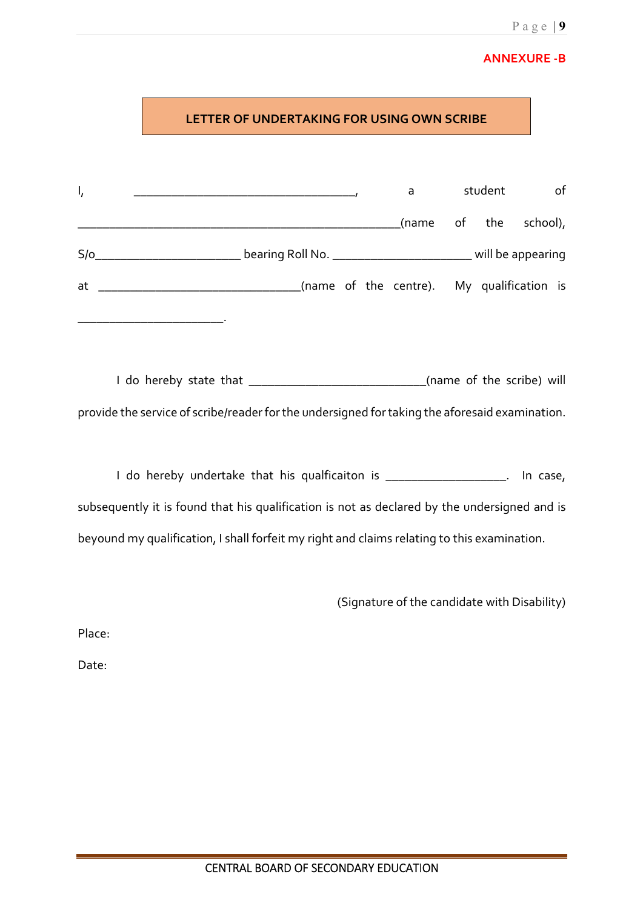# P a g e | **9**

# **ANNEXURE -B**

|                | LETTER OF UNDERTAKING FOR USING OWN SCRIBE                                                             |  |   |         |                 |
|----------------|--------------------------------------------------------------------------------------------------------|--|---|---------|-----------------|
| $\mathsf{I}_i$ |                                                                                                        |  | a | student | of              |
|                | S/o_________________________________bearing Roll No. ________________________________will be appearing |  |   |         | of the school), |
| at             | _________________________________(name of the centre). My qualification is                             |  |   |         |                 |
|                |                                                                                                        |  |   |         |                 |
|                |                                                                                                        |  |   |         |                 |
|                | provide the service of scribe/reader for the undersigned for taking the aforesaid examination.         |  |   |         |                 |
|                | I do hereby undertake that his qualficaiton is ____________________. In case,                          |  |   |         |                 |
|                | subsequently it is found that his qualification is not as declared by the undersigned and is           |  |   |         |                 |
|                | beyound my qualification, I shall forfeit my right and claims relating to this examination.            |  |   |         |                 |

(Signature of the candidate with Disability)

Place:

Date: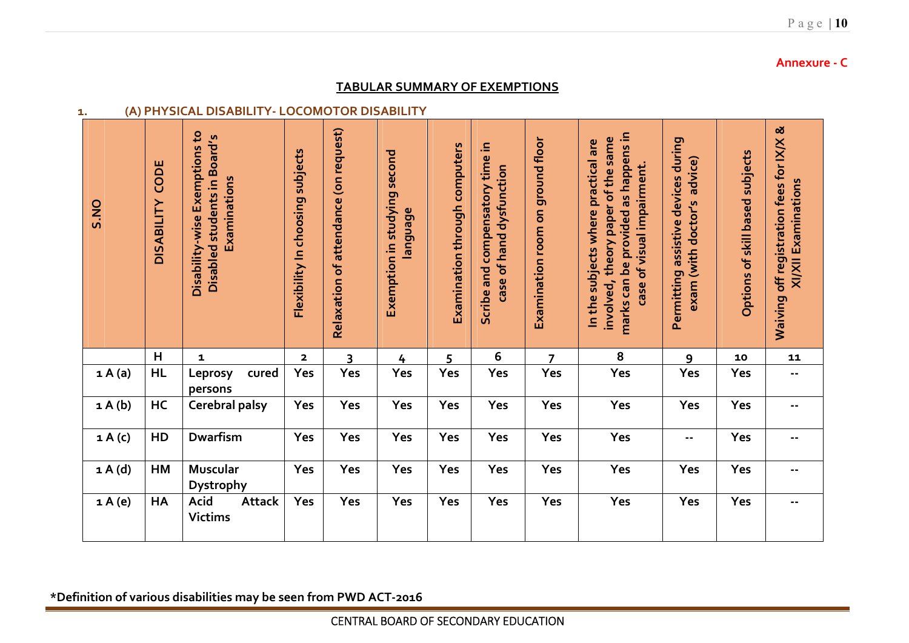| S.NO           | CODE<br><b>DISABILITY</b> | Disability-wise Exemptions to<br>Disabled students in Board's<br>Examinations | Flexibility In choosing subjects | Relaxation of attendance (on request) | Exemption in studying second<br>language | Examination through computers | Scribe and compensatory time in<br>case of hand dysfunction | Examination room on ground floor | marks can be provided as happens in<br>involved, theory paper of the same<br>In the subjects where practical are<br>case of visual impairment. | Permitting assistive devices during<br>exam (with doctor's advice) | Options of skill based subjects | Waiving off registration fees for IX/X &<br>XI/XII Examinations |
|----------------|---------------------------|-------------------------------------------------------------------------------|----------------------------------|---------------------------------------|------------------------------------------|-------------------------------|-------------------------------------------------------------|----------------------------------|------------------------------------------------------------------------------------------------------------------------------------------------|--------------------------------------------------------------------|---------------------------------|-----------------------------------------------------------------|
|                | H                         | $\mathbf{1}$                                                                  | $\overline{\mathbf{2}}$          | $\overline{\mathbf{3}}$               | 4                                        | 5                             | 6                                                           | $\overline{7}$                   | 8                                                                                                                                              | $\mathbf{9}$                                                       | 10                              | 11                                                              |
| 1A(a)          | <b>HL</b>                 | cured<br>Leprosy<br>persons                                                   | Yes                              | Yes                                   | Yes                                      | Yes                           | Yes                                                         | Yes                              | Yes                                                                                                                                            | Yes                                                                | Yes                             | 44                                                              |
| $a \wedge (b)$ | HC                        | <b>Cerebral palsy</b>                                                         | Yes                              | Yes                                   | Yes                                      | Yes                           | Yes                                                         | Yes                              | Yes                                                                                                                                            | Yes                                                                | Yes                             | $\overline{\phantom{a}}$                                        |
| 1A(c)          | HD                        | Dwarfism                                                                      | Yes                              | Yes                                   | Yes                                      | Yes                           | Yes                                                         | Yes                              | Yes                                                                                                                                            | --                                                                 | Yes                             | $\sim$ $-$                                                      |
| 1 A(d)         | HM                        | Muscular<br>Dystrophy                                                         | Yes                              | Yes                                   | Yes                                      | Yes                           | Yes                                                         | Yes                              | Yes                                                                                                                                            | Yes                                                                | Yes                             | $\blacksquare$ .                                                |
| 1A(e)          | HA                        | Acid<br><b>Attack</b><br><b>Victims</b>                                       | Yes                              | Yes                                   | Yes                                      | Yes                           | Yes                                                         | Yes                              | Yes                                                                                                                                            | Yes                                                                | Yes                             | $\ddotsc$                                                       |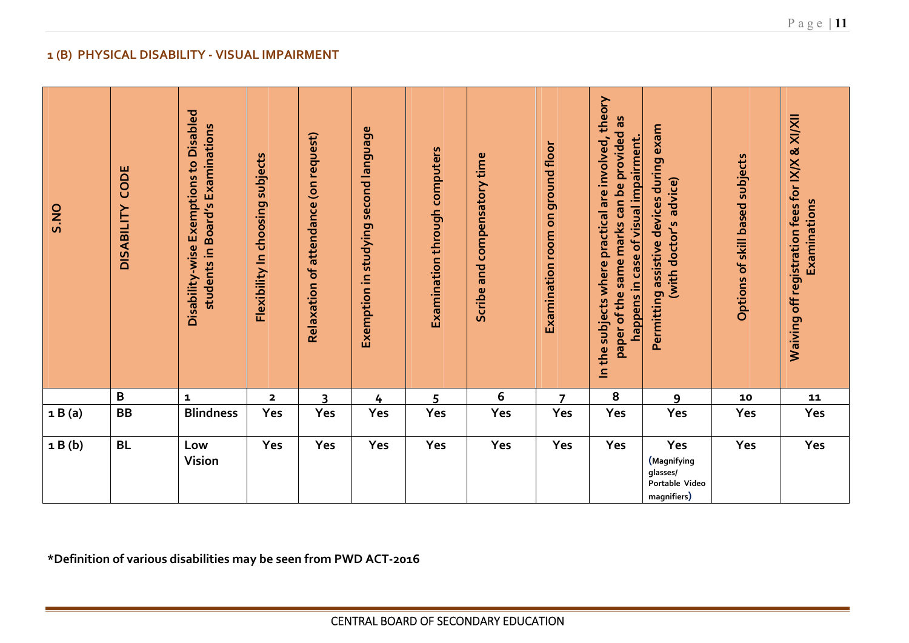| $\mathbf{1}$ (B)<br><b>PHYSICAL DISABILITY - VISUAL IMPAIRMENT</b> |                                                                   |                                                                            |                                  |                                       |                                       |                               |                              |                                  |                                                                                                                                               |                                                                    |                                 |                                                                 |
|--------------------------------------------------------------------|-------------------------------------------------------------------|----------------------------------------------------------------------------|----------------------------------|---------------------------------------|---------------------------------------|-------------------------------|------------------------------|----------------------------------|-----------------------------------------------------------------------------------------------------------------------------------------------|--------------------------------------------------------------------|---------------------------------|-----------------------------------------------------------------|
| S.NO                                                               | CODE<br><b>DISABILITY</b>                                         | Disability-wise Exemptions to Disabled<br>students in Board's Examinations | Flexibility In choosing subjects | Relaxation of attendance (on request) | Exemption in studying second language | Examination through computers | Scribe and compensatory time | Examination room on ground floor | In the subjects where practical are involved, theory<br>8g<br>paper of the same marks can be provided<br>happens in case of visual impairment | Permitting assistive devices during exam<br>(with doctor's advice) | Options of skill based subjects | Waiving off registration fees for IX/X & XI/XII<br>Examinations |
|                                                                    | B                                                                 | $\mathbf{1}$                                                               | $\overline{\mathbf{2}}$          | $\overline{3}$                        | 4                                     | 5                             | 6                            | $\overline{7}$                   | 8                                                                                                                                             | 9                                                                  | 10                              | 11                                                              |
| 1B(a)                                                              | <b>BB</b>                                                         | <b>Blindness</b>                                                           | Yes                              | Yes                                   | Yes                                   | Yes                           | Yes                          | Yes                              | Yes                                                                                                                                           | Yes                                                                | Yes                             | Yes                                                             |
| 1B(b)                                                              | <b>BL</b>                                                         | Low<br>Vision                                                              | Yes                              | Yes                                   | Yes                                   | Yes                           | Yes                          | Yes                              | Yes                                                                                                                                           | Yes<br>(Magnifying<br>glasses/<br>Portable Video<br>magnifiers)    | Yes                             | Yes                                                             |
|                                                                    | *Definition of various disabilities may be seen from PWD ACT-2016 |                                                                            |                                  |                                       |                                       |                               |                              |                                  |                                                                                                                                               |                                                                    |                                 |                                                                 |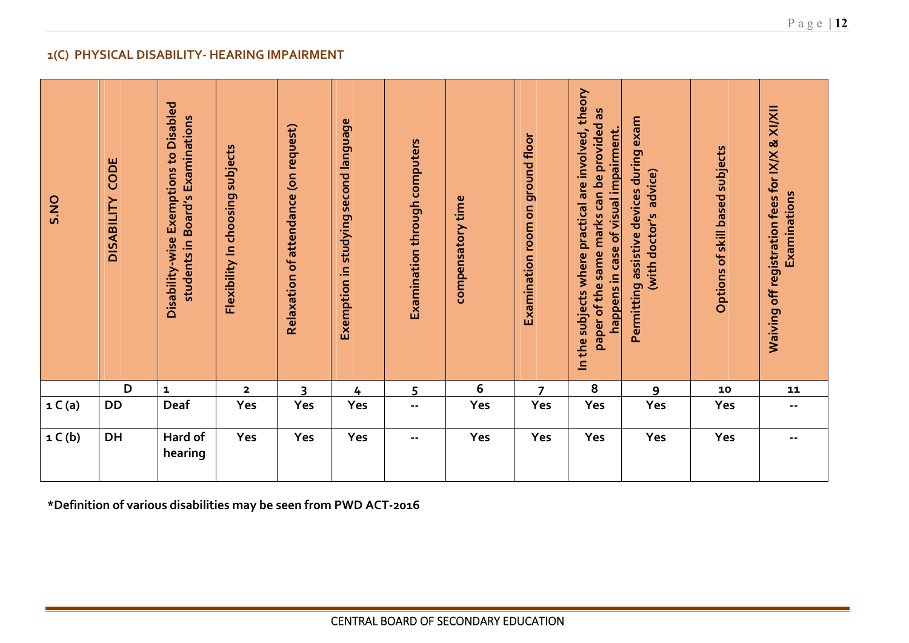|                                                                   | 1(C) PHYSICAL DISABILITY- HEARING IMPAIRMENT |                                                                            |                                  |                                       |                                       |                               |                                      |                                  |                                                                                                                                             |                                                                    |                                 |                                                                 |  |
|-------------------------------------------------------------------|----------------------------------------------|----------------------------------------------------------------------------|----------------------------------|---------------------------------------|---------------------------------------|-------------------------------|--------------------------------------|----------------------------------|---------------------------------------------------------------------------------------------------------------------------------------------|--------------------------------------------------------------------|---------------------------------|-----------------------------------------------------------------|--|
| S.NO                                                              | CODE<br><b>DISABILITY</b>                    | Disability-wise Exemptions to Disabled<br>students in Board's Examinations | Flexibility In choosing subjects | Relaxation of attendance (on request) | Exemption in studying second language | Examination through computers | compensatory time                    | Examination room on ground floor | In the subjects where practical are involved, theory<br>paper of the same marks can be provided as<br>happens in case of visual impairment. | Permitting assistive devices during exam<br>(with doctor's advice) | Options of skill based subjects | Waiving off registration fees for IX/X & XI/XII<br>Examinations |  |
|                                                                   | D                                            | $\mathbf 1$                                                                | $\mathbf{2}$                     | 3                                     | $\frac{4}{1}$                         | 5                             | 6                                    | $\overline{7}$                   | 8                                                                                                                                           | 9                                                                  | 10                              | 11                                                              |  |
| 1 C(a)                                                            | DD                                           | Deaf                                                                       | Yes                              | Yes                                   | Yes                                   | $\sim$ $\sim$                 | Yes                                  | Yes                              | Yes                                                                                                                                         | Yes                                                                | Yes                             | $\sim$ $-$                                                      |  |
| 1 C(b)                                                            | DH                                           | Hard of<br>hearing                                                         | Yes                              | Yes                                   | Yes                                   | $\sim$ $\sim$                 | Yes                                  | Yes                              | Yes                                                                                                                                         | Yes                                                                | Yes                             | $\sim$ $-$                                                      |  |
| *Definition of various disabilities may be seen from PWD ACT-2016 |                                              |                                                                            |                                  |                                       |                                       |                               |                                      |                                  |                                                                                                                                             |                                                                    |                                 |                                                                 |  |
|                                                                   |                                              |                                                                            |                                  |                                       |                                       |                               |                                      |                                  |                                                                                                                                             |                                                                    |                                 |                                                                 |  |
|                                                                   |                                              |                                                                            |                                  |                                       |                                       |                               |                                      |                                  |                                                                                                                                             |                                                                    |                                 |                                                                 |  |
|                                                                   |                                              |                                                                            |                                  |                                       |                                       |                               | CENTRAL BOARD OF SECONDARY EDUCATION |                                  |                                                                                                                                             |                                                                    |                                 |                                                                 |  |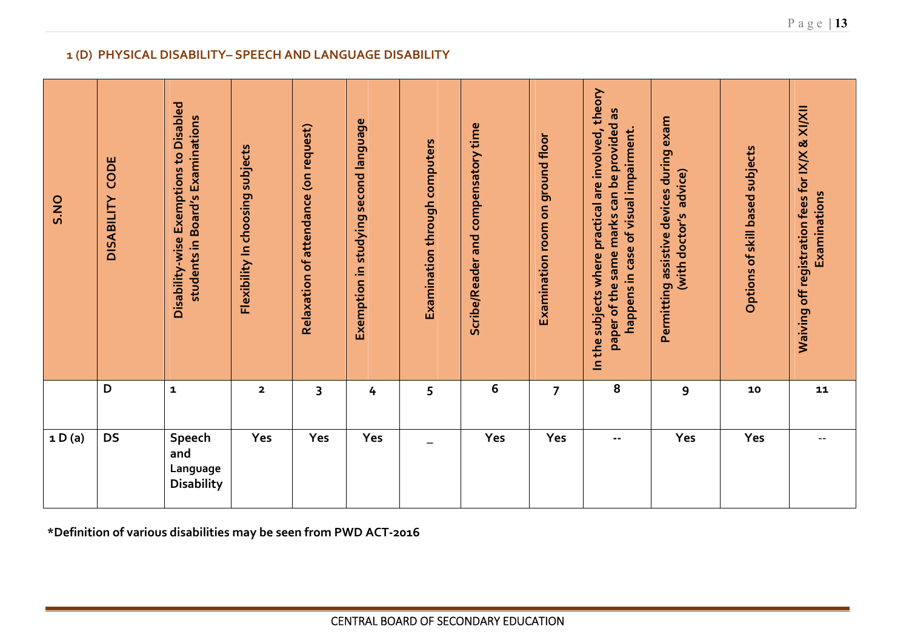|                                                                   | 1 (D) PHYSICAL DISABILITY- SPEECH AND LANGUAGE DISABILITY |                                                                            |                                  |                                       |                                       |                               |                                      |                                  |                                                                                                                                             |                                                                    |                                 |                                                                 |  |
|-------------------------------------------------------------------|-----------------------------------------------------------|----------------------------------------------------------------------------|----------------------------------|---------------------------------------|---------------------------------------|-------------------------------|--------------------------------------|----------------------------------|---------------------------------------------------------------------------------------------------------------------------------------------|--------------------------------------------------------------------|---------------------------------|-----------------------------------------------------------------|--|
| S.NO                                                              | CODE<br><b>DISABILITY</b>                                 | Disability-wise Exemptions to Disabled<br>students in Board's Examinations | Flexibility In choosing subjects | Relaxation of attendance (on request) | Exemption in studying second language | Examination through computers | Scribe/Reader and compensatory time  | Examination room on ground floor | In the subjects where practical are involved, theory<br>paper of the same marks can be provided as<br>happens in case of visual impairment. | Permitting assistive devices during exam<br>(with doctor's advice) | Options of skill based subjects | Waiving off registration fees for IX/X & XI/XII<br>Examinations |  |
|                                                                   | D                                                         | $\mathbf 1$                                                                | $\mathbf{2}$                     | 3                                     | 4                                     | 5                             | 6                                    | $\overline{7}$                   | ${\bf 8}$                                                                                                                                   | 9                                                                  | 10                              | 11                                                              |  |
| 1 D(a)                                                            | <b>DS</b>                                                 | Speech<br>and<br>Language<br><b>Disability</b>                             | Yes                              | Yes                                   | Yes                                   |                               | Yes                                  | Yes                              | ۰.                                                                                                                                          | Yes                                                                | Yes                             | --                                                              |  |
| *Definition of various disabilities may be seen from PWD ACT-2016 |                                                           |                                                                            |                                  |                                       |                                       |                               |                                      |                                  |                                                                                                                                             |                                                                    |                                 |                                                                 |  |
|                                                                   |                                                           |                                                                            |                                  |                                       |                                       |                               | CENTRAL BOARD OF SECONDARY EDUCATION |                                  |                                                                                                                                             |                                                                    |                                 |                                                                 |  |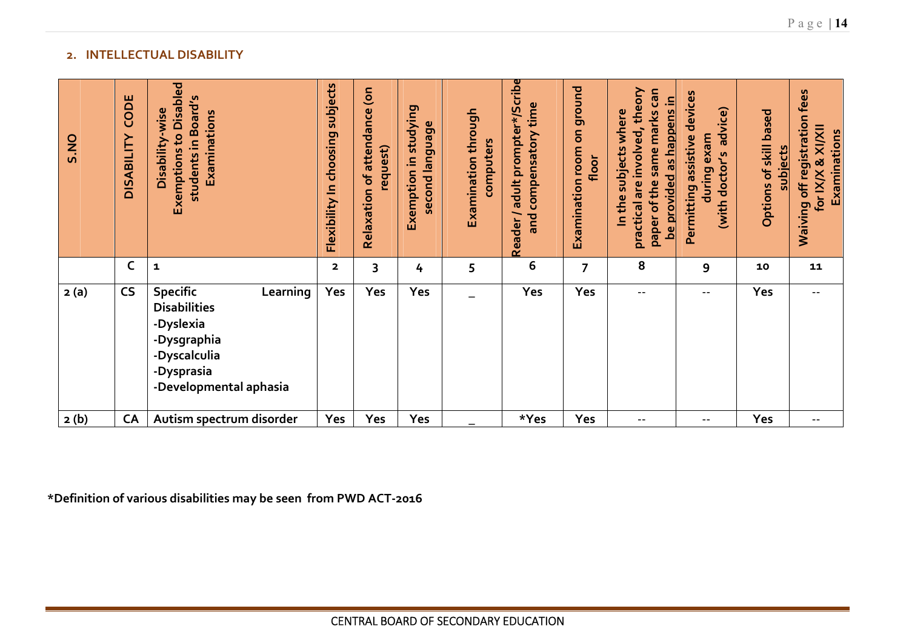| 2.   |                           | <b>INTELLECTUAL DISABILITY</b>                                                                                                         |                                  |                                          |                                          |                                      |                                                          |                                     |                                                                                                                     |                                                                          |                                           |                                                                    |
|------|---------------------------|----------------------------------------------------------------------------------------------------------------------------------------|----------------------------------|------------------------------------------|------------------------------------------|--------------------------------------|----------------------------------------------------------|-------------------------------------|---------------------------------------------------------------------------------------------------------------------|--------------------------------------------------------------------------|-------------------------------------------|--------------------------------------------------------------------|
| S.NO | CODE<br><b>DISABILITY</b> | <b>Exemptions to Disabled</b><br>students in Board's<br>Disability-wise<br>Examinations                                                | Flexibility In choosing subjects | Relaxation of attendance (on<br>request) | Exemption in studying<br>second language | Examination through<br>computers     | Reader / adult prompter*/Scribe<br>and compensatory time | Examination room on ground<br>floor | practical are involved, theory<br>paper of the same marks can<br>be provided as happens in<br>In the subjects where | Permitting assistive devices<br>advice)<br>during exam<br>(with doctor's | Options of skill based<br><b>subjects</b> | Waiving off registration fees<br>for IX/X & XI/XII<br>Examinations |
|      | $\mathsf C$               | $\mathbf{1}$                                                                                                                           | $\overline{\mathbf{2}}$          | 3                                        | 4                                        | 5                                    | 6                                                        | $\overline{7}$                      | 8                                                                                                                   | 9                                                                        | 10                                        | 11                                                                 |
| 2(a) | <b>CS</b>                 | Learning<br><b>Specific</b><br><b>Disabilities</b><br>-Dyslexia<br>-Dysgraphia<br>-Dyscalculia<br>-Dysprasia<br>-Developmental aphasia | Yes                              | Yes                                      | Yes                                      |                                      | Yes                                                      | Yes                                 | $\overline{\phantom{a}}$ .                                                                                          | $- -$                                                                    | Yes                                       | $- -$                                                              |
| 2(b) | CA                        | Autism spectrum disorder                                                                                                               | Yes                              | Yes                                      | Yes                                      |                                      | *Yes                                                     | Yes                                 | $\overline{\phantom{a}}$ .                                                                                          | $- -$                                                                    | Yes                                       | $\mathord{\hspace{1pt}\text{--}\hspace{1pt}}$                      |
|      |                           | Definition of various disabilities may be seen from PWD ACT-2016                                                                       |                                  |                                          |                                          |                                      |                                                          |                                     |                                                                                                                     |                                                                          |                                           |                                                                    |
|      |                           |                                                                                                                                        |                                  |                                          |                                          | CENTRAL BOARD OF SECONDARY EDUCATION |                                                          |                                     |                                                                                                                     |                                                                          |                                           |                                                                    |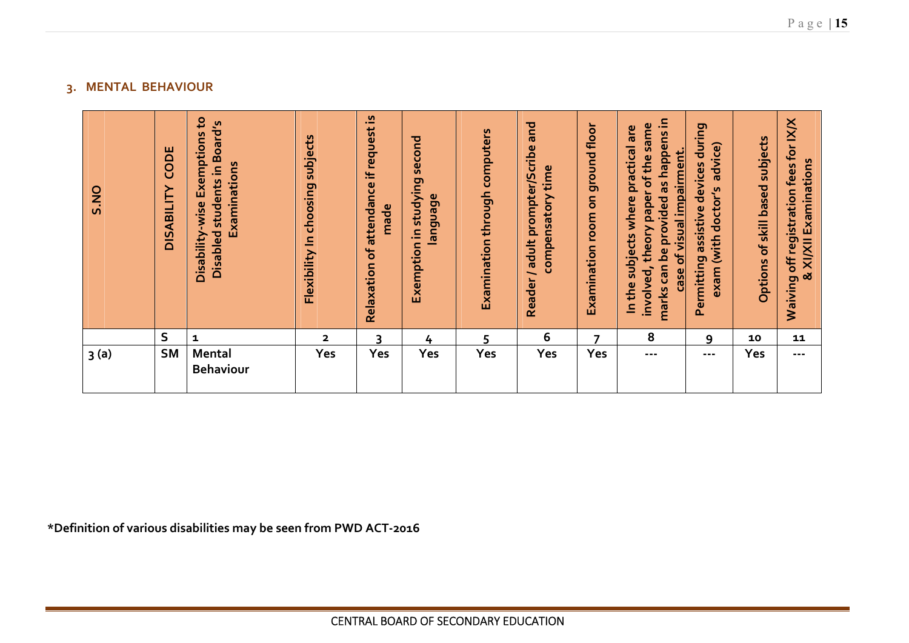| $\overline{3}$ | <b>MENTAL BEHAVIOUR</b><br>S.NO                                | CODE<br><b>DISABILITY</b> | Disability-wise Exemptions to<br>Disabled students in Board's<br>Examinations | Flexibility In choosing subjects | Relaxation of attendance if request is<br>made | Exemption in studying second<br>language | Examination through computers        | Reader / adult prompter/Scribe and<br>compensatory time | Examination room on ground floor | marks can be provided as happens in<br>involved, theory paper of the same<br>In the subjects where practical are<br>case of visual impairment. | Permitting assistive devices during<br>exam (with doctor's advice) | Options of skill based subjects | Waiving off registration fees for IX/X<br>& XI/XII Examinations |
|----------------|----------------------------------------------------------------|---------------------------|-------------------------------------------------------------------------------|----------------------------------|------------------------------------------------|------------------------------------------|--------------------------------------|---------------------------------------------------------|----------------------------------|------------------------------------------------------------------------------------------------------------------------------------------------|--------------------------------------------------------------------|---------------------------------|-----------------------------------------------------------------|
|                |                                                                | $\sf S$                   | $\mathbf{1}$                                                                  | $\mathbf{2}$                     | $\overline{3}$                                 | $\frac{1}{4}$                            | 5                                    | 6                                                       | $\overline{7}$                   | 8                                                                                                                                              | 9                                                                  | 10                              | 11                                                              |
|                | 3(a)                                                           | <b>SM</b>                 | Mental<br><b>Behaviour</b>                                                    | Yes                              | Yes                                            | Yes                                      | Yes                                  | Yes                                                     | Yes                              | $\sim$ $\sim$ $\sim$                                                                                                                           | $- - -$                                                            | Yes                             | $- - -$                                                         |
|                | finition of various disabilities may be seen from PWD ACT-2016 |                           |                                                                               |                                  |                                                |                                          |                                      |                                                         |                                  |                                                                                                                                                |                                                                    |                                 |                                                                 |
|                |                                                                |                           |                                                                               |                                  |                                                |                                          |                                      |                                                         |                                  |                                                                                                                                                |                                                                    |                                 |                                                                 |
|                |                                                                |                           |                                                                               |                                  |                                                |                                          | CENTRAL BOARD OF SECONDARY EDUCATION |                                                         |                                  |                                                                                                                                                |                                                                    |                                 |                                                                 |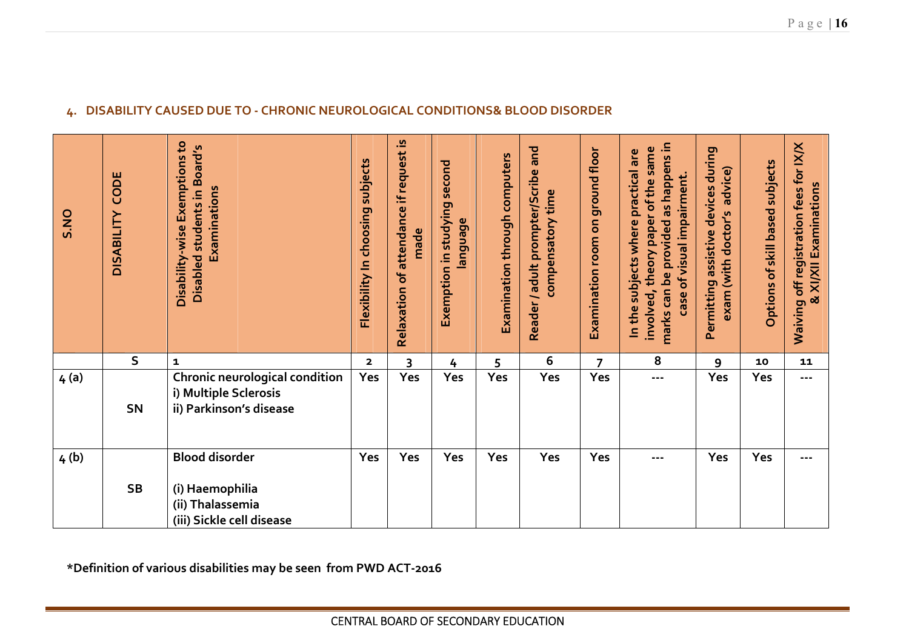| 4.   | DISABILITY CAUSED DUE TO - CHRONIC NEUROLOGICAL CONDITIONS& BLOOD DISORDER |                                                                                           |                                  |                                                |                                          |                               |                                                            |                                  |                                                                                                                                                |                                                                       |                                 |                                                                 |  |
|------|----------------------------------------------------------------------------|-------------------------------------------------------------------------------------------|----------------------------------|------------------------------------------------|------------------------------------------|-------------------------------|------------------------------------------------------------|----------------------------------|------------------------------------------------------------------------------------------------------------------------------------------------|-----------------------------------------------------------------------|---------------------------------|-----------------------------------------------------------------|--|
| S.NO | CODE<br><b>DISABILITY</b>                                                  | Disability-wise Exemptions to<br>Disabled students in Board's<br>Examinations             | Flexibility In choosing subjects | Relaxation of attendance if request is<br>made | Exemption in studying second<br>language | Examination through computers | and<br>Reader / adult prompter/Scribe<br>compensatory time | Examination room on ground floor | marks can be provided as happens in<br>involved, theory paper of the same<br>In the subjects where practical are<br>case of visual impairment. | Permitting assistive devices during<br>advice)<br>exam (with doctor's | Options of skill based subjects | Waiving off registration fees for IX/X<br>& XI/XII Examinations |  |
|      | $\mathsf{S}$                                                               | $\mathbf{1}$                                                                              | $\overline{\mathbf{2}}$          | 3                                              | 4                                        | 5                             | 6                                                          | $\overline{7}$                   | 8                                                                                                                                              | 9                                                                     | 10                              | 11                                                              |  |
| 4(a) | <b>SN</b>                                                                  | Chronic neurological condition<br>i) Multiple Sclerosis<br>ii) Parkinson's disease        | Yes                              | Yes                                            | Yes                                      | Yes                           | Yes                                                        | Yes                              | ---                                                                                                                                            | Yes                                                                   | Yes                             | $- - -$                                                         |  |
| 4(b) | <b>SB</b>                                                                  | <b>Blood disorder</b><br>(i) Haemophilia<br>(ii) Thalassemia<br>(iii) Sickle cell disease | Yes                              | Yes                                            | Yes                                      | Yes                           | Yes                                                        | Yes                              | $\sim$ $\sim$ $\sim$                                                                                                                           | Yes                                                                   | Yes                             | $\sim$ $\sim$ $\sim$                                            |  |
|      | *Definition of various disabilities may be seen from PWD ACT-2016          |                                                                                           |                                  |                                                |                                          |                               |                                                            |                                  |                                                                                                                                                |                                                                       |                                 |                                                                 |  |
|      |                                                                            |                                                                                           |                                  |                                                |                                          |                               | CENTRAL BOARD OF SECONDARY EDUCATION                       |                                  |                                                                                                                                                |                                                                       |                                 |                                                                 |  |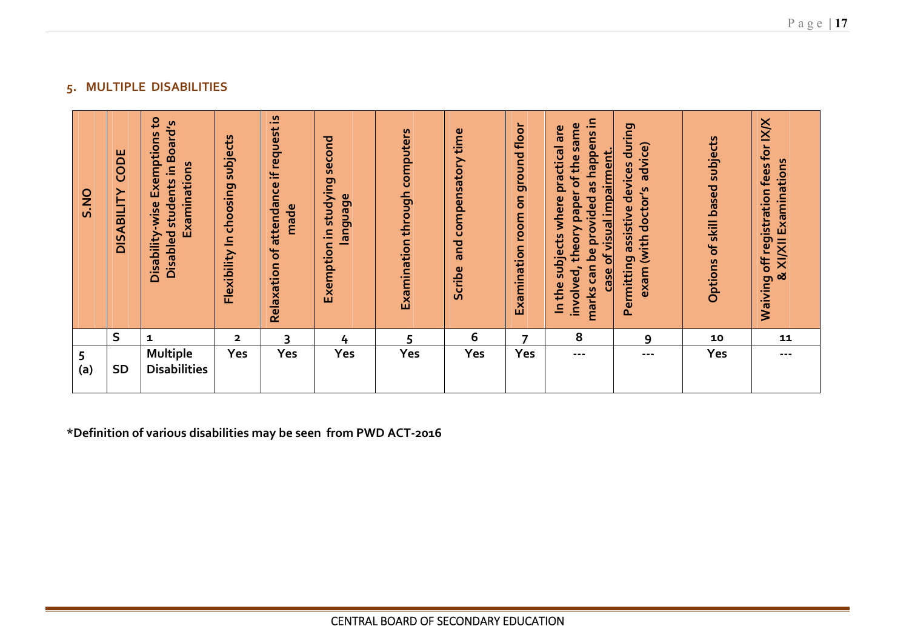| Disability-wise Exemptions to<br>Disabled students in Board's<br>CODE<br>Examinations<br><b>DISABILITY</b><br>S.NO | Flexibility In choosing subjects | Relaxation of attendance if request is<br>made | Exemption in studying second<br>language | Examination through computers | Scribe and compensatory time | Examination room on ground floor | marks can be provided as happens in<br>involved, theory paper of the same<br>In the subjects where practical are<br>case of visual impairment. | Permitting assistive devices during<br>exam (with doctor's advice) | Options of skill based subjects | Waiving off registration fees for IX/X<br>& XI/XII Examinations |
|--------------------------------------------------------------------------------------------------------------------|----------------------------------|------------------------------------------------|------------------------------------------|-------------------------------|------------------------------|----------------------------------|------------------------------------------------------------------------------------------------------------------------------------------------|--------------------------------------------------------------------|---------------------------------|-----------------------------------------------------------------|
| $\sf S$<br>$\mathbf{1}$                                                                                            | $\mathbf{2}$                     | 3                                              | $\frac{1}{4}$                            | 5                             | 6                            | 7                                | 8                                                                                                                                              | 9                                                                  | 10                              | 11                                                              |
| <b>Multiple</b><br>5<br>(a)<br><b>Disabilities</b><br><b>SD</b>                                                    | Yes                              | Yes                                            | Yes                                      | Yes                           | Yes                          | Yes                              | ---                                                                                                                                            | $\sim$ $\sim$ $\sim$                                               | Yes                             | $\sim$ $\sim$ $\sim$                                            |
| *Definition of various disabilities may be seen from PWD ACT-2016                                                  |                                  |                                                |                                          |                               |                              |                                  |                                                                                                                                                |                                                                    |                                 |                                                                 |
|                                                                                                                    |                                  |                                                |                                          |                               |                              |                                  |                                                                                                                                                |                                                                    |                                 |                                                                 |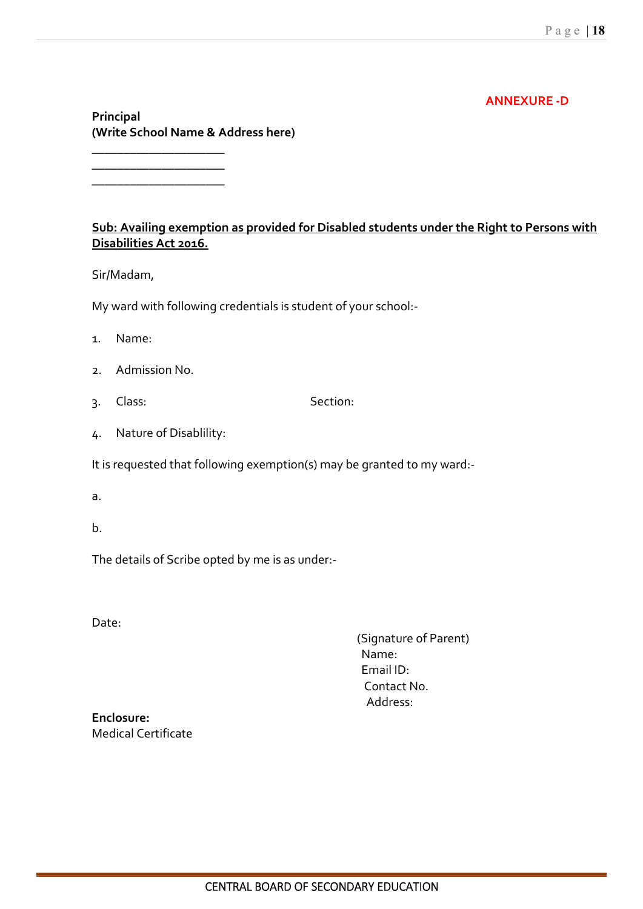### **ANNEXURE -D**

**Principal (Write School Name & Address here)** 

**\_\_\_\_\_\_\_\_\_\_\_\_\_\_\_\_\_\_\_\_\_ \_\_\_\_\_\_\_\_\_\_\_\_\_\_\_\_\_\_\_\_\_ \_\_\_\_\_\_\_\_\_\_\_\_\_\_\_\_\_\_\_\_\_** 

### **Sub: Availing exemption as provided for Disabled students under the Right to Persons with Disabilities Act 2016.**

Sir/Madam,

My ward with following credentials is student of your school:-

- 1. Name:
- 2. Admission No.
- 3. Class: Section:
- 4. Nature of Disablility:

It is requested that following exemption(s) may be granted to my ward:-

- a.
- b.

The details of Scribe opted by me is as under:-

Date:

 (Signature of Parent) Name: Email ID: Contact No. Address:

**Enclosure:**  Medical Certificate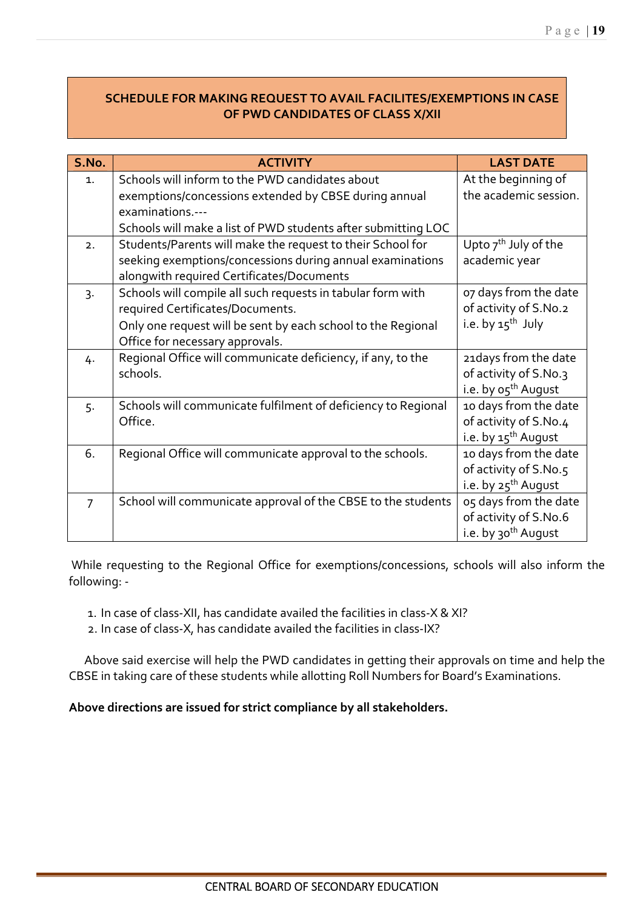# **SCHEDULE FOR MAKING REQUEST TO AVAIL FACILITES/EXEMPTIONS IN CASE OF PWD CANDIDATES OF CLASS X/XII**

| S.No.          | <b>ACTIVITY</b>                                               | <b>LAST DATE</b>                |
|----------------|---------------------------------------------------------------|---------------------------------|
| $\mathbf{1}$ . | Schools will inform to the PWD candidates about               | At the beginning of             |
|                | exemptions/concessions extended by CBSE during annual         | the academic session.           |
|                | examinations.---                                              |                                 |
|                | Schools will make a list of PWD students after submitting LOC |                                 |
| 2.             | Students/Parents will make the request to their School for    | Upto $7th$ July of the          |
|                | seeking exemptions/concessions during annual examinations     | academic year                   |
|                | alongwith required Certificates/Documents                     |                                 |
| $3 -$          | Schools will compile all such requests in tabular form with   | 07 days from the date           |
|                | required Certificates/Documents.                              | of activity of S.No.2           |
|                | Only one request will be sent by each school to the Regional  | i.e. by $15^{th}$ July          |
|                | Office for necessary approvals.                               |                                 |
| 4.             | Regional Office will communicate deficiency, if any, to the   | 21 days from the date           |
|                | schools.                                                      | of activity of S.No.3           |
|                |                                                               | i.e. by o5 <sup>th</sup> August |
| 5.             | Schools will communicate fulfilment of deficiency to Regional | 10 days from the date           |
|                | Office.                                                       | of activity of S.No.4           |
|                |                                                               | i.e. by 15 <sup>th</sup> August |
| 6.             | Regional Office will communicate approval to the schools.     | 10 days from the date           |
|                |                                                               | of activity of S.No.5           |
|                |                                                               | i.e. by 25 <sup>th</sup> August |
| 7              | School will communicate approval of the CBSE to the students  | 05 days from the date           |
|                |                                                               | of activity of S.No.6           |
|                |                                                               | i.e. by 30 <sup>th</sup> August |

 While requesting to the Regional Office for exemptions/concessions, schools will also inform the following: -

- 1. In case of class-XII, has candidate availed the facilities in class-X & XI?
- 2. In case of class-X, has candidate availed the facilities in class-IX?

 Above said exercise will help the PWD candidates in getting their approvals on time and help the CBSE in taking care of these students while allotting Roll Numbers for Board's Examinations.

**Above directions are issued for strict compliance by all stakeholders.**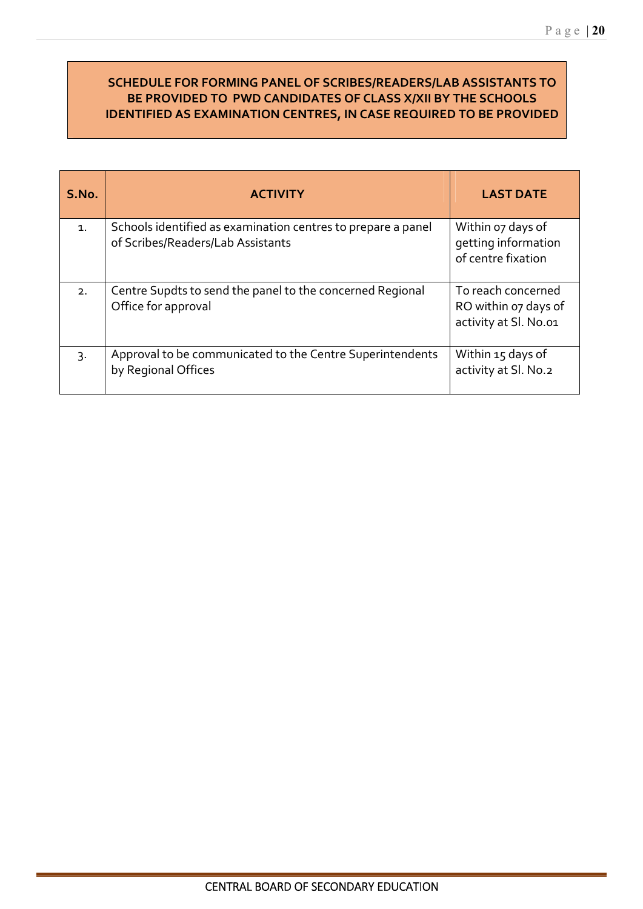### **SCHEDULE FOR FORMING PANEL OF SCRIBES/READERS/LAB ASSISTANTS TO BE PROVIDED TO PWD CANDIDATES OF CLASS X/XII BY THE SCHOOLS IDENTIFIED AS EXAMINATION CENTRES, IN CASE REQUIRED TO BE PROVIDED**

| S.No.            | <b>ACTIVITY</b>                                                                                   | <b>LAST DATE</b>                                                    |
|------------------|---------------------------------------------------------------------------------------------------|---------------------------------------------------------------------|
| $\mathbf{1}$ .   | Schools identified as examination centres to prepare a panel<br>of Scribes/Readers/Lab Assistants | Within o7 days of<br>getting information<br>of centre fixation      |
| 2.               | Centre Supdts to send the panel to the concerned Regional<br>Office for approval                  | To reach concerned<br>RO within oz days of<br>activity at Sl. No.o1 |
| $\overline{3}$ . | Approval to be communicated to the Centre Superintendents<br>by Regional Offices                  | Within 15 days of<br>activity at Sl. No.2                           |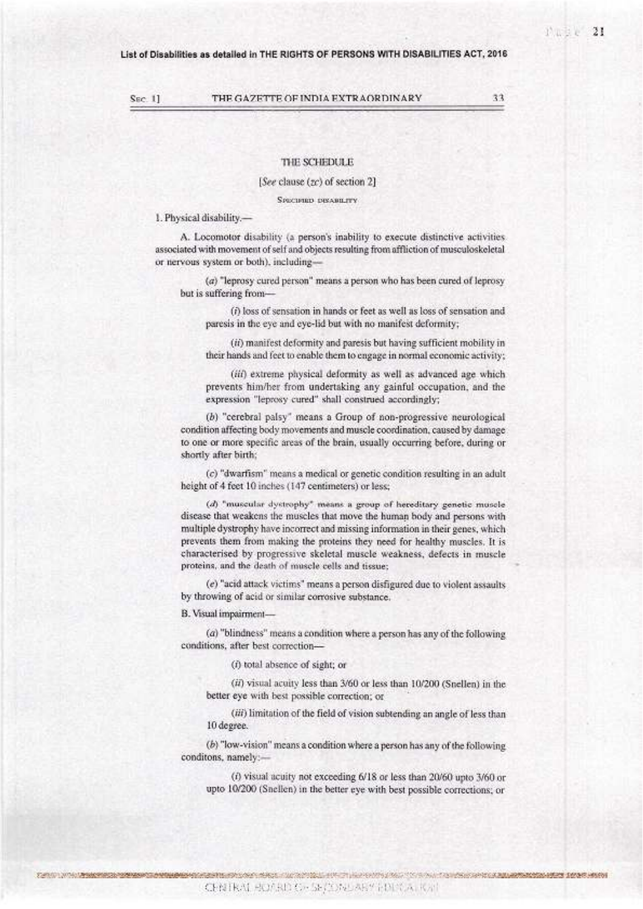SEC. 11

THE GAZETTE OF INDIA EXTRAORDINARY

THE SCHEDULE

[See clause (zc) of section 2]

Spectrum researches

1. Physical disability.-

A. Locomotor disability (a person's inability to execute distinctive activities associated with movement of self and objects resulting from affliction of musculoskeletal or nervous system or both), including-

(a) "leprosy cured person" means a person who has been cured of leprosy but is suffering from-

(i) loss of sensation in hands or feet as well as loss of sensation and paresis in the eye and eye-lid but with no manifest deformity;

(ii) manifest deformity and paresis but having sufficient mobility in their hands and feet to enable them to engage in normal economic activity;

(iii) extreme physical deformity as well as advanced age which prevents him/her from undertaking any gainful occupation, and the expression "leprosy cured" shall construed accordingly;

(b) "cerebral palsy" means a Group of non-progressive neurological condition affecting body movements and muscle coordination, caused by damage to one or more specific areas of the brain, usually occurring before, during or shortly after birth:

(c) "dwarfism" means a medical or genetic condition resulting in an adult height of 4 feet 10 inches (147 centimeters) or less;

(d) "muscular dystrophy" means a group of hereditary genetic muscle disease that weakens the muscles that move the human body and persons with multiple dystrophy have incorrect and missing information in their genes, which prevents them from making the proteins they need for healthy muscles. It is characterised by progressive skeletal muscle weakness, defects in muscle proteins, and the death of muscle cells and tissue;

(e) "acid attack victims" means a person disfigured due to violent assaults by throwing of acid or similar corrosive substance.

B. Visual impairment-

(a) "blindness" means a condition where a person has any of the following conditions, after best correction-

(f) total absence of sight; or

(ii) visual acuity less than 3/60 or less than 10/200 (Snellen) in the better eye with best possible correction; or

(iii) limitation of the field of vision subtending an angle of less than 10 degree.

 $(b)$  "low-vision" means a condition where a person has any of the following conditons, namely:-

(i) visual acuity not exceeding 6/18 or less than 20/60 upto 3/60 or upto 10/200 (Snellen) in the better eye with best possible corrections; or

33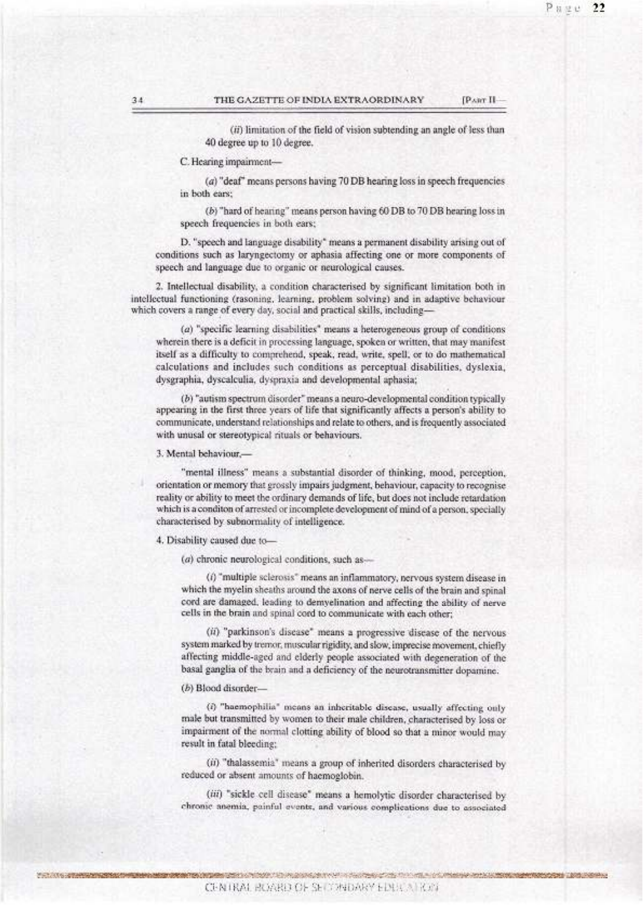[PAirr II

(ii) limitation of the field of vision subtending an angle of less than 40 degree up to 10 degree.

### C. Hearing impairment-

(a) "deaf" means persons having 70 DB hearing loss in speech frequencies in both ears:

(b) "hard of hearing" means person having 60 DB to 70 DB hearing loss in speech frequencies in both ears;

D. "speech and language disability" means a permanent disability arising out of conditions such as laryngectomy or aphasia affecting one or more components of speech and language due to organic or neurological causes.

2. Intellectual disability, a condition characterised by significant limitation both in intellectual functioning (rasoning, learning, problem solving) and in adaptive behaviour which covers a range of every day, social and practical skills, including-

(a) "specific learning disabilities" means a heterogeneous group of conditions wherein there is a deficit in processing language, spoken or written, that may manifest itself as a difficulty to comprehend, speak, read, write, spell, or to do mathematical calculations and includes such conditions as perceptual disabilities, dyslexia, dysgraphia, dyscalculia, dyspraxia and developmental aphasia;

(b) "autism spectrum disorder" means a neuro-developmental condition typically appearing in the first three years of life that significantly affects a person's ability to communicate, understand relationships and relate to others, and is frequently associated with unusal or stereotypical rituals or behaviours.

### 3. Mental behaviour,-

"mental illness" means a substantial disorder of thinking, mood, perception, orientation or memory that grossly impairs judgment, behaviour, capacity to recognise reality or ability to meet the ordinary demands of life, but does not include retardation which is a conditon of arrested or incomplete development of mind of a person, specially characterised by subnormality of intelligence.

### 4. Disability caused due to-

(a) chronic neurological conditions, such as-

(i) "multiple sclerosis" means an inflammatory, nervous system disease in which the myelin sheaths around the axons of nerve cells of the brain and spinal cord are damaged, leading to demyelination and affecting the ability of nerve cells in the brain and spinal cord to communicate with each other;

(ii) "parkinson's disease" means a progressive disease of the nervous system marked by tremor, muscular rigidity, and slow, imprecise movement, chiefly affecting middle-aged and elderly people associated with degeneration of the basal ganglia of the brain and a deficiency of the neurotransmitter dopamine.

### (b) Blood disorder-

(i) "haemophilia" means an inheritable disease, usually affecting only male but transmitted by women to their male children, characterised by loss or impairment of the normal clotting ability of blood so that a minor would may result in fatal bleeding;

(ii) "thalassemia" means a group of inherited disorders characterised by reduced or absent amounts of haemoglobin.

(iii) "sickle cell disease" means a hemolytic disorder characterised by chronic anemia, painful events, and various complications due to associated